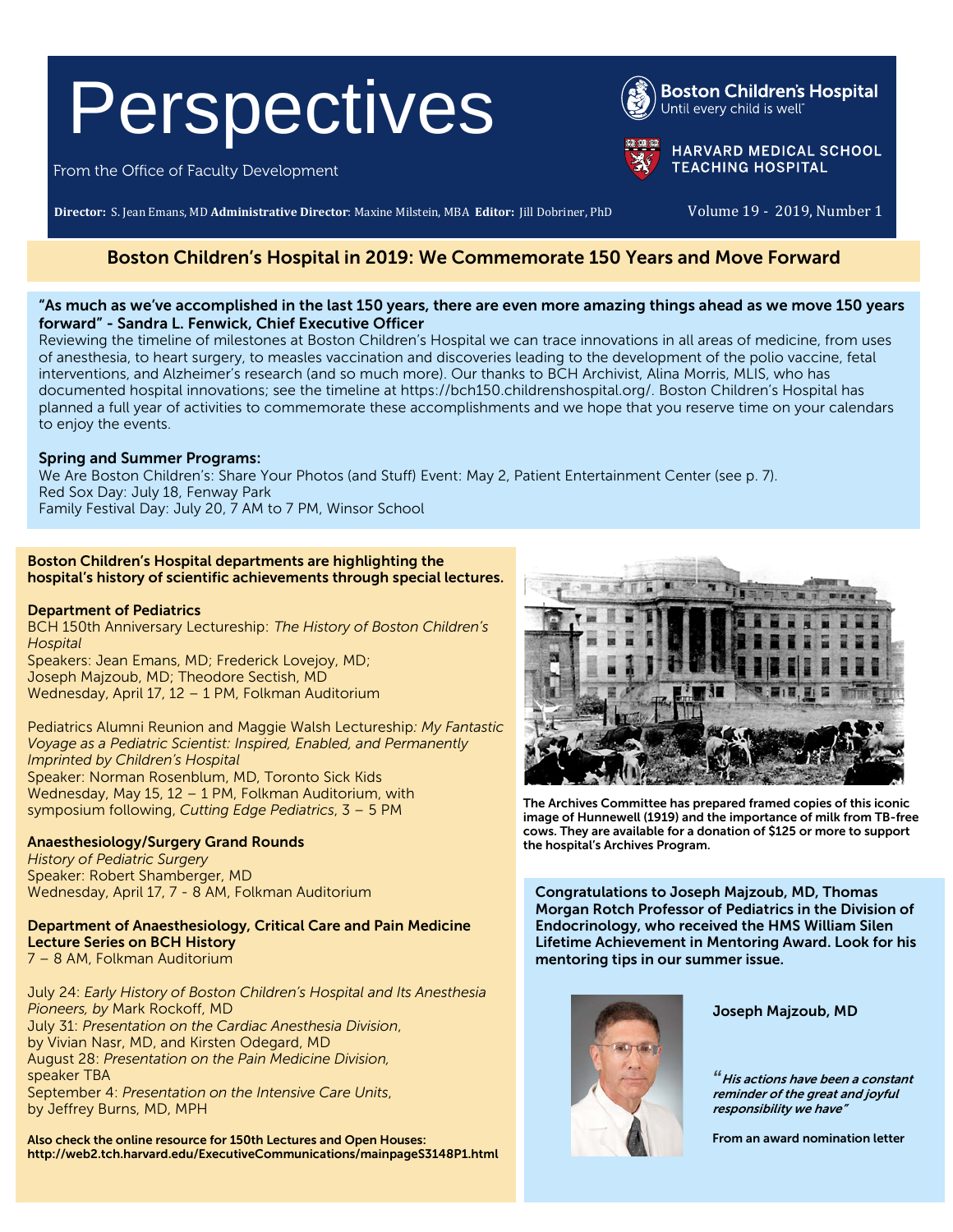# Perspectives

From the Office of Faculty Development

**Director:** S. Jean Emans, MD **Administrative Director**: Maxine Milstein, MBA **Editor:** Jill Dobriner, PhD Volume 19 - 2019, Number 1

# Boston Children's Hospital in 2019: We Commemorate 150 Years and Move Forward

# "As much as we've accomplished in the last 150 years, there are even more amazing things ahead as we move 150 years forward" - Sandra L. Fenwick, Chief Executive Officer

Reviewing the timeline of milestones at Boston Children's Hospital we can trace innovations in all areas of medicine, from uses of anesthesia, to heart surgery, to measles vaccination and discoveries leading to the development of the polio vaccine, fetal interventions, and Alzheimer's research (and so much more). Our thanks to BCH Archivist, Alina Morris, MLIS, who has documented hospital innovations; see the timeline at [https://bch150.childrenshospital.org/.](https://bch150.childrenshospital.org/) Boston Children's Hospital has planned a full year of activities to commemorate these accomplishments and we hope that you reserve time on your calendars to enjoy the events.

# Spring and Summer Programs:

We Are Boston Children's: Share Your Photos (and Stuff) Event: May 2, Patient Entertainment Center (see p. 7). Red Sox Day: July 18, Fenway Park Family Festival Day: July 20, 7 AM to 7 PM, Winsor School

# Boston Children's Hospital departments are highlighting the hospital's history of scientific achievements through special lectures.

# Department of Pediatrics

BCH 150th Anniversary Lectureship: *The History of Boston Children's Hospital*  Speakers: Jean Emans, MD; Frederick Lovejoy, MD; Joseph Majzoub, MD; Theodore Sectish, MD Wednesday, April 17, 12 – 1 PM, Folkman Auditorium

Pediatrics Alumni Reunion and Maggie Walsh Lectureship*: My Fantastic Voyage as a Pediatric Scientist: Inspired, Enabled, and Permanently Imprinted by Children's Hospital* Speaker: Norman Rosenblum, MD, Toronto Sick Kids Wednesday, May 15, 12 – 1 PM, Folkman Auditorium, with symposium following, *Cutting Edge Pediatrics*, 3 – 5 PM

# Anaesthesiology/Surgery Grand Rounds

*History of Pediatric Surgery* Speaker: Robert Shamberger, MD Wednesday, April 17, 7 - 8 AM, Folkman Auditorium

#### Department of Anaesthesiology, Critical Care and Pain Medicine Lecture Series on BCH History 7 – 8 AM, Folkman Auditorium

July 24: *Early History of Boston Children's Hospital and Its Anesthesia Pioneers, by* Mark Rockoff, MD July 31: *Presentation on the Cardiac Anesthesia Division*, by Vivian Nasr, MD, and Kirsten Odegard, MD August 28: *Presentation on the Pain Medicine Division,* speaker TBA September 4: *Presentation on the Intensive Care Units*, by Jeffrey Burns, MD, MPH

Also check the online resource for 150th Lectures and Open Houses: http://web2.tch.harvard.edu/ExecutiveCommunications/mainpageS3148P1.html



The Archives Committee has prepared framed copies of this iconic image of Hunnewell (1919) and the importance of milk from TB-free cows. They are available for a donation of \$125 or more to support the hospital's Archives Program.

Congratulations to Joseph Majzoub, MD, Thomas Morgan Rotch Professor of Pediatrics in the Division of Endocrinology, who received the HMS William Silen Lifetime Achievement in Mentoring Award. Look for his mentoring tips in our summer issue.



Joseph Majzoub, MD

*"*His actions have been a constant reminder of the great and joyful responsibility we have"

From an award nomination letter



**HARVARD MEDICAL SCHOOL TEACHING HOSPITAL**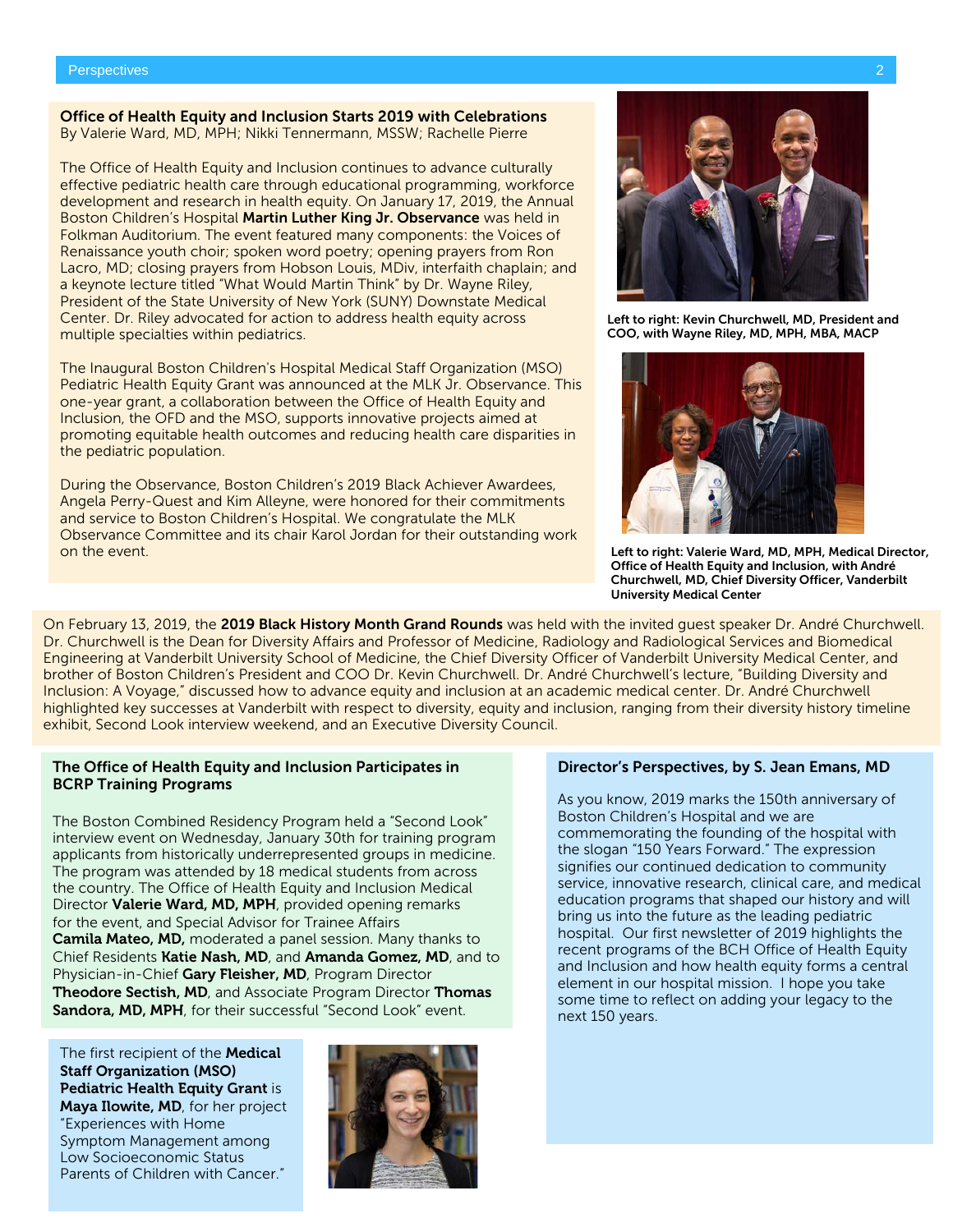#### Office of Health Equity and Inclusion Starts 2019 with Celebrations By Valerie Ward, MD, MPH; Nikki Tennermann, MSSW; Rachelle Pierre

The Office of Health Equity and Inclusion continues to advance culturally effective pediatric health care through educational programming, workforce development and research in health equity. On January 17, 2019, the Annual Boston Children's Hospital Martin Luther King Jr. Observance was held in Folkman Auditorium. The event featured many components: the Voices of Renaissance youth choir; spoken word poetry; opening prayers from Ron Lacro, MD; closing prayers from Hobson Louis, MDiv, interfaith chaplain; and a keynote lecture titled "What Would Martin Think" by Dr. Wayne Riley, President of the State University of New York (SUNY) Downstate Medical Center. Dr. Riley advocated for action to address health equity across multiple specialties within pediatrics.

The Inaugural Boston Children's Hospital Medical Staff Organization (MSO) Pediatric Health Equity Grant was announced at the MLK Jr. Observance. This one-year grant, a collaboration between the Office of Health Equity and Inclusion, the OFD and the MSO, supports innovative projects aimed at promoting equitable health outcomes and reducing health care disparities in the pediatric population.

During the Observance, Boston Children's 2019 Black Achiever Awardees, Angela Perry-Quest and Kim Alleyne, were honored for their commitments and service to Boston Children's Hospital. We congratulate the MLK Observance Committee and its chair Karol Jordan for their outstanding work on the event.

On February 13, 2019, the 2019 Black History Month Grand Rounds was held with the invited guest speaker Dr. André Churchwell. Dr. Churchwell is the Dean for Diversity Affairs and Professor of Medicine, Radiology and Radiological Services and Biomedical Engineering at Vanderbilt University School of Medicine, the Chief Diversity Officer of Vanderbilt University Medical Center, and brother of Boston Children's President and COO Dr. Kevin Churchwell. Dr. André Churchwell's lecture, "Building Diversity and Inclusion: A Voyage," discussed how to advance equity and inclusion at an academic medical center. Dr. André Churchwell highlighted key successes at Vanderbilt with respect to diversity, equity and inclusion, ranging from their diversity history timeline exhibit, Second Look interview weekend, and an Executive Diversity Council.

# The Office of Health Equity and Inclusion Participates in BCRP Training Programs

The Boston Combined Residency Program held a "Second Look" interview event on Wednesday, January 30th for training program applicants from historically underrepresented groups in medicine. The program was attended by 18 medical students from across the country. The Office of Health Equity and Inclusion Medical Director Valerie Ward, MD, MPH, provided opening remarks for the event, and Special Advisor for Trainee Affairs Camila Mateo, MD, moderated a panel session. Many thanks to Chief Residents Katie Nash, MD, and Amanda Gomez, MD, and to Physician-in-Chief Gary Fleisher, MD, Program Director Theodore Sectish, MD, and Associate Program Director Thomas Sandora, MD, MPH, for their successful "Second Look" event.

The first recipient of the **Medical** Staff Organization (MSO) Pediatric Health Equity Grant is Maya Ilowite, MD, for her project "Experiences with Home Symptom Management among Low Socioeconomic Status Parents of Children with Cancer."





Left to right: Kevin Churchwell, MD, President and COO, with Wayne Riley, MD, MPH, MBA, MACP



Left to right: Valerie Ward, MD, MPH, Medical Director, Office of Health Equity and Inclusion, with André Churchwell, MD, Chief Diversity Officer, Vanderbilt University Medical Center

#### Director's Perspectives, by S. Jean Emans, MD

As you know, 2019 marks the 150th anniversary of Boston Children's Hospital and we are commemorating the founding of the hospital with the slogan "150 Years Forward." The expression signifies our continued dedication to community service, innovative research, clinical care, and medical education programs that shaped our history and will bring us into the future as the leading pediatric hospital. Our first newsletter of 2019 highlights the recent programs of the BCH Office of Health Equity and Inclusion and how health equity forms a central element in our hospital mission. I hope you take some time to reflect on adding your legacy to the next 150 years.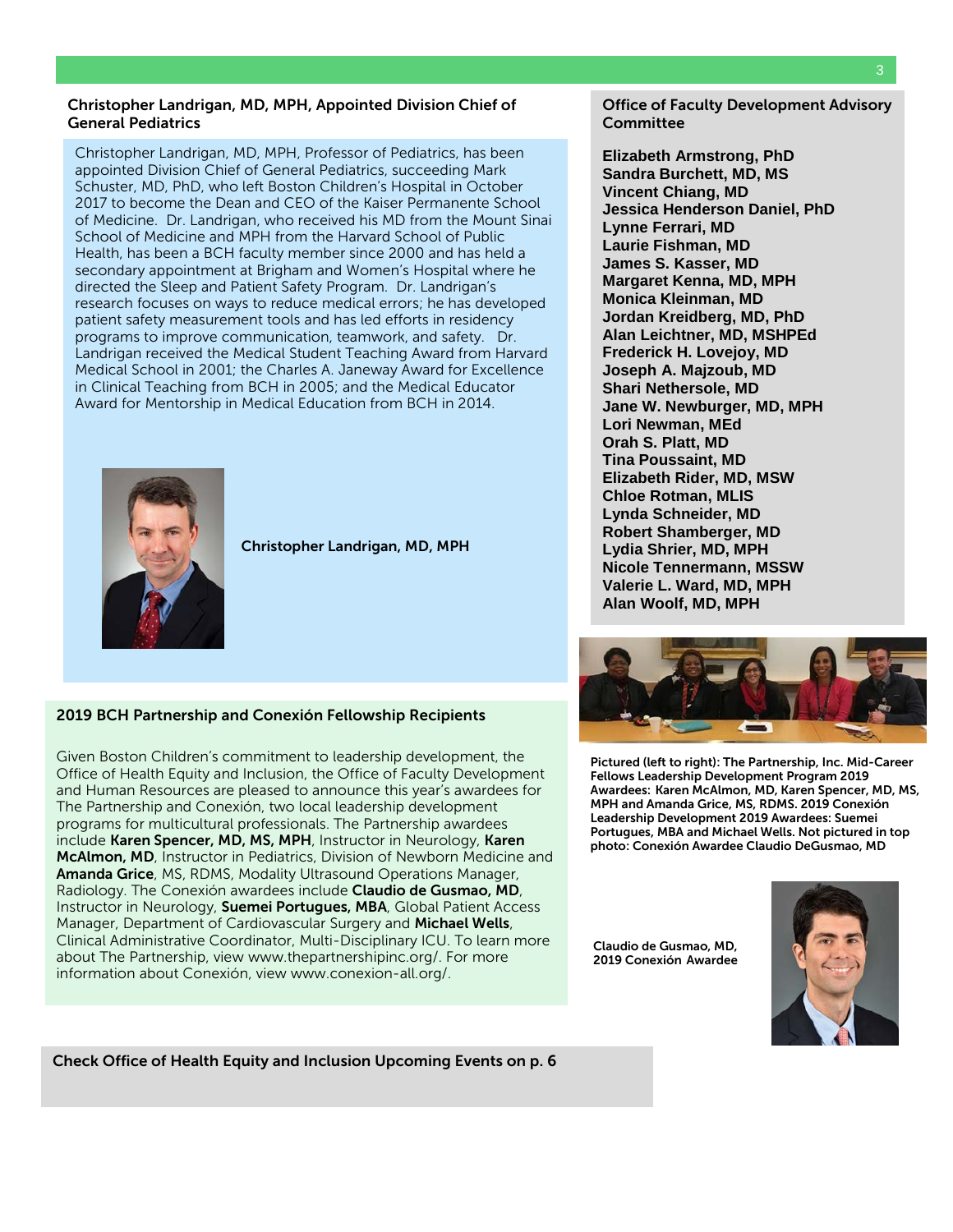#### Christopher Landrigan, MD, MPH, Appointed Division Chief of General Pediatrics

Christopher Landrigan, MD, MPH, Professor of Pediatrics, has been appointed Division Chief of General Pediatrics, succeeding Mark Schuster, MD, PhD, who left Boston Children's Hospital in October 2017 to become the Dean and CEO of the Kaiser Permanente School of Medicine. Dr. Landrigan, who received his MD from the Mount Sinai School of Medicine and MPH from the Harvard School of Public Health, has been a BCH faculty member since 2000 and has held a secondary appointment at Brigham and Women's Hospital where he directed the Sleep and Patient Safety Program. Dr. Landrigan's research focuses on ways to reduce medical errors; he has developed patient safety measurement tools and has led efforts in residency programs to improve communication, teamwork, and safety. Dr. Landrigan received the Medical Student Teaching Award from Harvard Medical School in 2001; the Charles A. Janeway Award for Excellence in Clinical Teaching from BCH in 2005; and the Medical Educator Award for Mentorship in Medical Education from BCH in 2014.



Christopher Landrigan, MD, MPH

# 2019 BCH Partnership and Conexión Fellowship Recipients

Given Boston Children's commitment to leadership development, the Office of Health Equity and Inclusion, the Office of Faculty Development and Human Resources are pleased to announce this year's awardees for The Partnership and Conexión, two local leadership development programs for multicultural professionals. The Partnership awardees include Karen Spencer, MD, MS, MPH, Instructor in Neurology, Karen McAlmon, MD, Instructor in Pediatrics, Division of Newborn Medicine and Amanda Grice, MS, RDMS, Modality Ultrasound Operations Manager, Radiology. The Conexión awardees include Claudio de Gusmao, MD, Instructor in Neurology, Suemei Portugues, MBA, Global Patient Access Manager, Department of Cardiovascular Surgery and Michael Wells, Clinical Administrative Coordinator, Multi-Disciplinary ICU. To learn more about The Partnership, view [www.thepartnershipinc.org/.](http://www.thepartnershipinc.org/) For more information about Conexión, vie[w www.conexion-all.org/.](http://www.conexion-all.org/)

Office of Faculty Development Advisory **Committee** 

**Elizabeth Armstrong, PhD Sandra Burchett, MD, MS Vincent Chiang, MD Jessica Henderson Daniel, PhD Lynne Ferrari, MD Laurie Fishman, MD James S. Kasser, MD Margaret Kenna, MD, MPH Monica Kleinman, MD Jordan Kreidberg, MD, PhD Alan Leichtner, MD, MSHPEd Frederick H. Lovejoy, MD Joseph A. Majzoub, MD Shari Nethersole, MD Jane W. Newburger, MD, MPH Lori Newman, MEd Orah S. Platt, MD Tina Poussaint, MD Elizabeth Rider, MD, MSW Chloe Rotman, MLIS Lynda Schneider, MD Robert Shamberger, MD Lydia Shrier, MD, MPH Nicole Tennermann, MSSW Valerie L. Ward, MD, MPH Alan Woolf, MD, MPH**



Pictured (left to right): The Partnership, Inc. Mid-Career Fellows Leadership Development Program 2019 Awardees: Karen McAlmon, MD, Karen Spencer, MD, MS, MPH and Amanda Grice, MS, RDMS. 2019 Conexión Leadership Development 2019 Awardees: Suemei Portugues, MBA and Michael Wells. Not pictured in top photo: Conexión Awardee Claudio DeGusmao, MD

Claudio de Gusmao, MD, 2019 Conexión Awardee



Check Office of Health Equity and Inclusion Upcoming Events on p. 6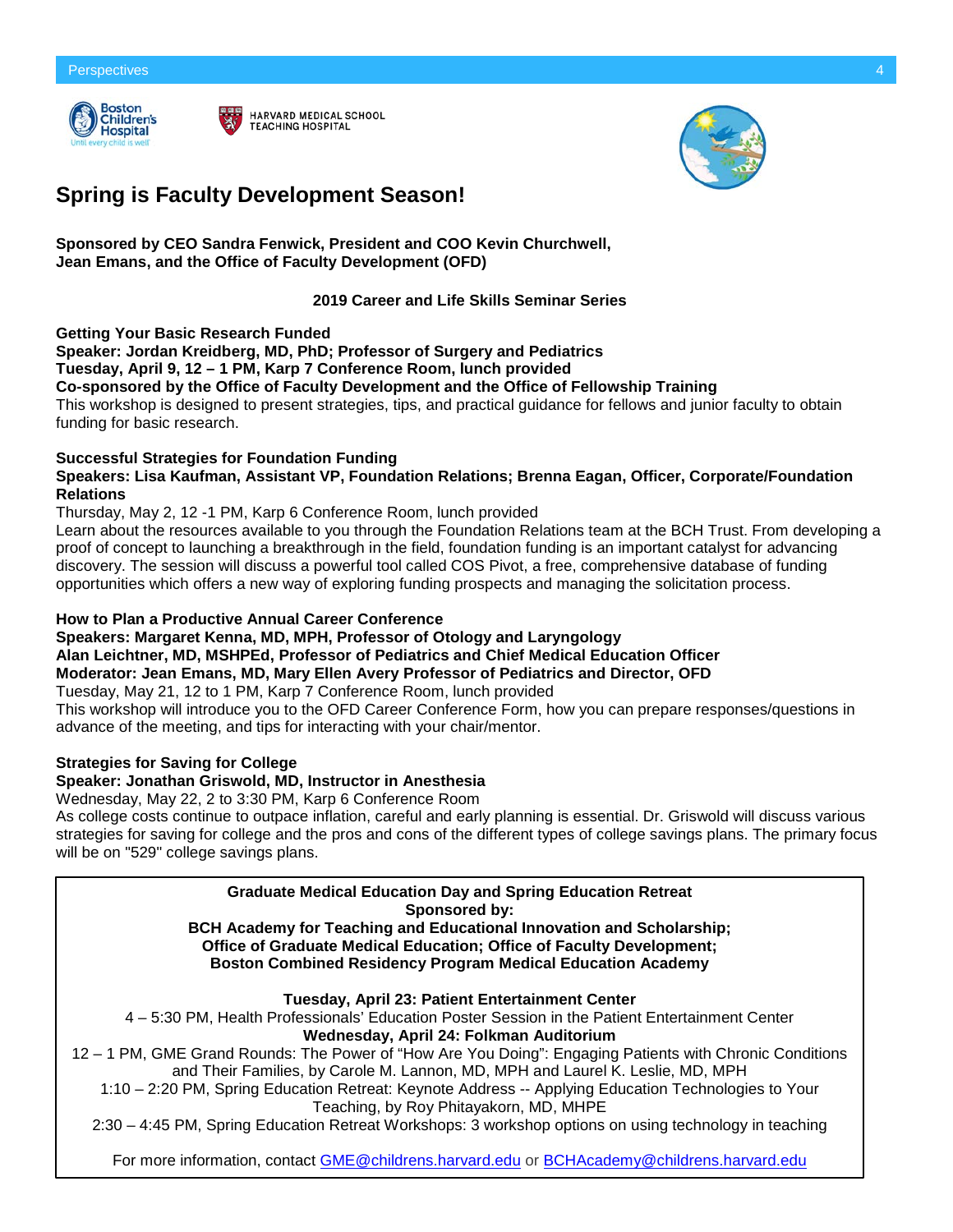



# **Spring is Faculty Development Season!**

**Sponsored by CEO Sandra Fenwick, President and COO Kevin Churchwell, Jean Emans, and the Office of Faculty Development (OFD)**

# **2019 Career and Life Skills Seminar Series**

**Getting Your Basic Research Funded**

**Speaker: Jordan Kreidberg, MD, PhD; Professor of Surgery [and Pediatrics](mailto:OFD@childrens.harvard.edu) Tuesday, April 9, 12 – 1 PM, Karp 7 Conference Room, lunch provided Co-sponsored by the Office of Faculty Development and the Office of Fellowship Training** This workshop is designed to present strategies, tips, and practical guidance for fellows and junior faculty to obtain funding for basic research.

#### **Successful Strategies for Foundation Funding Speakers: Lisa Kaufman, Assistant VP, Foundation Relations; Brenna Eagan, Officer, Corporate/Foundation Relations**

Thursday, May 2, 12 -1 PM, Karp 6 Conference Room, lunch provided

Learn about the resources available to you through the Foundation Relations team at the BCH Trust. From developing a proof of concept to launching a breakthrough in the field, foundation funding is an important catalyst for advancing discovery. The session will discuss a powerful tool called COS Pivot, a free, comprehensive database of funding opportunities which offers a new way of exploring funding prospects and managing the solicitation process.

# **How to Plan a Productive Annual Career Conference**

**Speakers: Margaret Kenna, MD, MPH, Professor of Otology and Laryngology Alan Leichtner, MD, MSHPEd, Professor of Pediatrics and Chief Medical Education Officer Moderator: Jean Emans, MD, Mary Ellen Avery Professor of Pediatrics and Director, OFD** Tuesday, May 21, 12 to 1 PM, Karp 7 Conference Room, lunch provided

This workshop will introduce you to the OFD Career Conference Form, how you can prepare responses/questions in advance of the meeting, and tips for interacting with your chair/mentor.

# **Strategies for Saving for College**

# **Speaker: Jonathan Griswold, MD, Instructor in Anesthesia**

Wednesday, May 22, 2 to 3:30 PM, Karp 6 Conference Room

As college costs continue to outpace inflation, careful and early planning is essential. Dr. Griswold will discuss various strategies for saving for college and the pros and cons of the different types of college savings plans. The primary focus will be on "529" college savings plans.

# **Graduate Medical Education Day and Spring Education Retreat**

**Sponsored by:**

**BCH Academy for Teaching and Educational Innovation and Scholarship; Office of Graduate Medical Education; Office of Faculty Development; Boston Combined Residency Program Medical Education Academy**

**Tuesday, April 23: Patient Entertainment Center**

4 – 5:30 PM, Health Professionals' Education Poster Session in the Patient Entertainment Center **Wednesday, April 24: Folkman Auditorium**

12 – 1 PM, GME Grand Rounds: The Power of "How Are You Doing": Engaging Patients with Chronic Conditions and Their Families, by Carole M. Lannon, MD, MPH and Laurel K. Leslie, MD, MPH

1:10 – 2:20 PM, Spring Education Retreat: Keynote Address -- Applying Education Technologies to Your Teaching, by Roy Phitayakorn, MD, MHPE

2:30 – 4:45 PM, Spring Education Retreat Workshops: 3 workshop options on using technology in teaching

For more information, contact [GME@childrens.harvard.edu](mailto:GME@childrens.harvard.edu) or [BCHAcademy@childrens.harvard.edu](mailto:BCHAcademy@childrens.harvard.edu)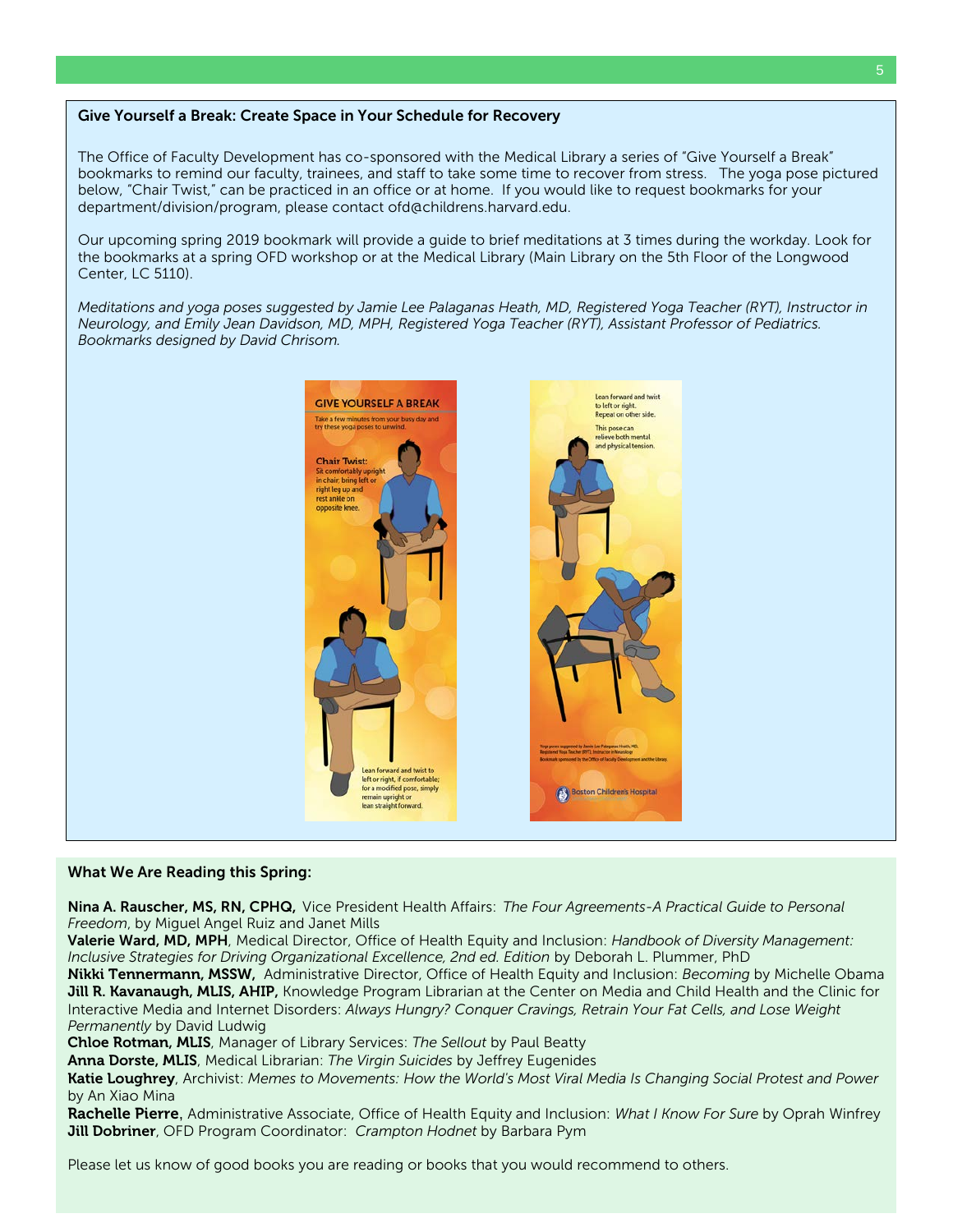# Give Yourself a Break: Create Space in Your Schedule for Recovery

The Office of Faculty Development has co-sponsored with the Medical Library a series of "Give Yourself a Break" bookmarks to remind our faculty, trainees, and staff to take some time to recover from stress. The yoga pose pictured below, "Chair Twist," can be practiced in an office or at home. If you would like to request bookmarks for your department/division/program, please contact [ofd@childrens.harvard.edu.](mailto:ofd@childrens.harvard.edu)

Our upcoming spring 2019 bookmark will provide a guide to brief meditations at 3 times during the workday. Look for the bookmarks at a spring OFD workshop or at the Medical Library (Main Library on the 5th Floor of the Longwood Center, LC 5110).

*Meditations and yoga poses suggested by Jamie Lee Palaganas Heath, MD, Registered Yoga Teacher (RYT), Instructor in Neurology, and Emily Jean Davidson, MD, MPH, Registered Yoga Teacher (RYT), Assistant Professor of Pediatrics. Bookmarks designed by David Chrisom.*



#### What We Are Reading this Spring:

Nina A. Rauscher, MS, RN, CPHQ, Vice President Health Affairs: *The Four Agreements-A Practical Guide to Personal Freedom*, by Miguel Angel Ruiz and Janet Mills

Valerie Ward, MD, MPH, Medical Director, Office of Health Equity and Inclusion: *Handbook of Diversity Management: Inclusive Strategies for Driving Organizational Excellence, 2nd ed. Edition* by Deborah L. Plummer, PhD

Nikki Tennermann, MSSW, Administrative Director, Office of Health Equity and Inclusion: *Becoming* by Michelle Obama Jill R. Kavanaugh, MLIS, AHIP, Knowledge Program Librarian at the Center on Media and Child Health and the Clinic for Interactive Media and Internet Disorders: *Always Hungry? Conquer Cravings, Retrain Your Fat Cells, and Lose Weight Permanently* by David Ludwig

Chloe Rotman, MLIS, Manager of Library Services: *The Sellout* by Paul Beatty

Anna Dorste, MLIS, Medical Librarian: *The Virgin Suicides* by Jeffrey Eugenides

Katie Loughrey, Archivist: *Memes to Movements: How the World's Most Viral Media Is Changing Social Protest and Power* by An Xiao Mina

Rachelle Pierre, Administrative Associate, Office of Health Equity and Inclusion: *What I Know For Sure* by Oprah Winfrey Jill Dobriner, OFD Program Coordinator: *Crampton Hodnet* by Barbara Pym

Please let us know of good books you are reading or books that you would recommend to others.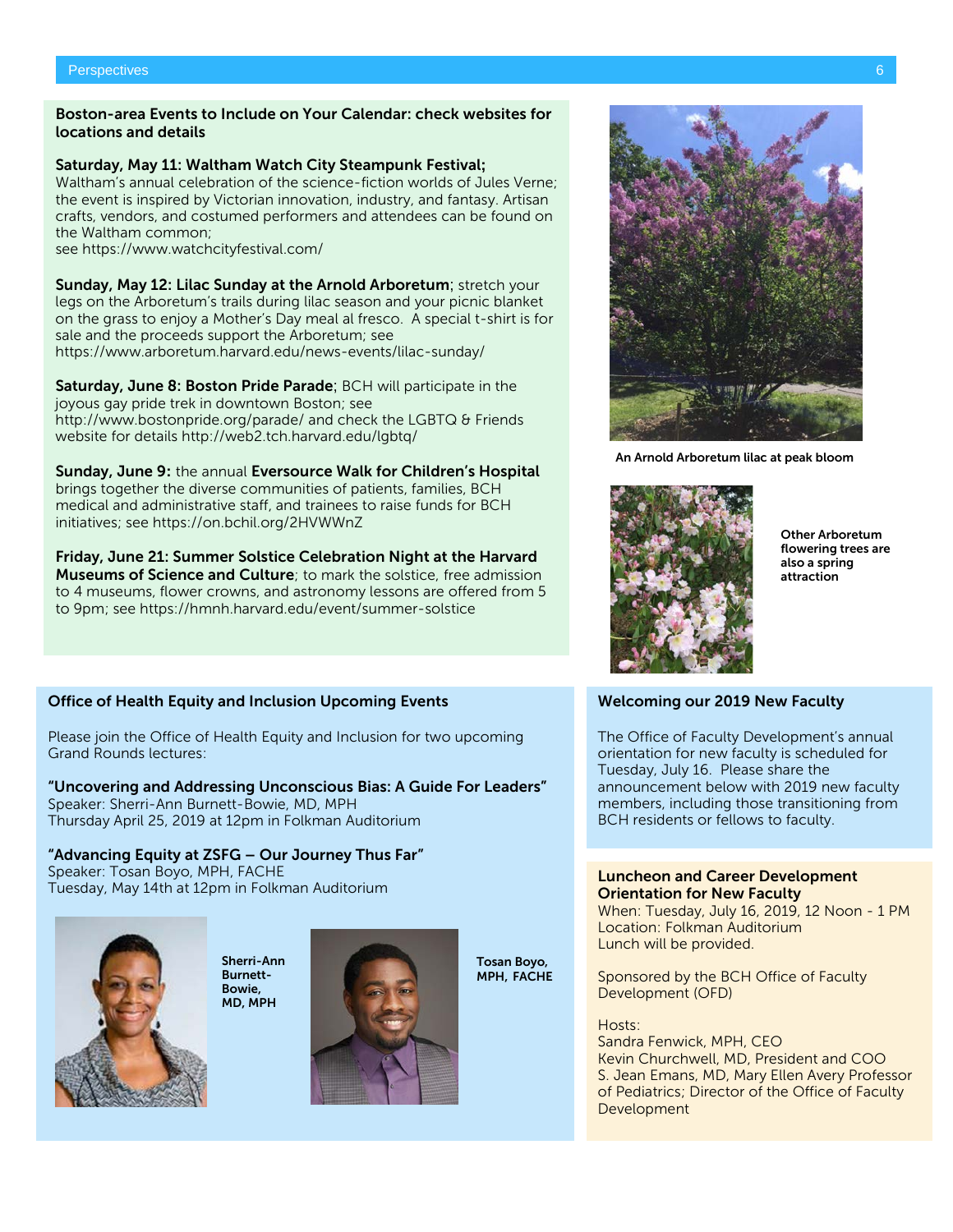# Boston-area Events to Include on Your Calendar: check websites for locations and details

# Saturday, May 11: Waltham Watch City Steampunk Festival**;**

Waltham's annual celebration of the science-fiction worlds of Jules Verne; the event is inspired by Victorian innovation, industry, and fantasy. Artisan crafts, vendors, and costumed performers and attendees can be found on the Waltham common;

see<https://www.watchcityfestival.com/>

Sunday, May 12: Lilac Sunday at the Arnold Arboretum; stretch your legs on the Arboretum's trails during lilac season and your picnic blanket on the grass to enjoy a Mother's Day meal al fresco. A special t-shirt is for sale and the proceeds support the Arboretum; see <https://www.arboretum.harvard.edu/news-events/lilac-sunday/>

Saturday, June 8: Boston Pride Parade; BCH will participate in the joyous gay pride trek in downtown Boston; see <http://www.bostonpride.org/parade/> and check the LGBTQ & Friends website for details<http://web2.tch.harvard.edu/lgbtq/>

Sunday, June 9**:** the annual Eversource Walk for Children's Hospital brings together the diverse communities of patients, families, BCH medical and administrative staff, and trainees to raise funds for BCH initiatives; see<https://on.bchil.org/2HVWWnZ>

Friday, June 21: Summer Solstice Celebration Night at the Harvard **Museums of Science and Culture**; to mark the solstice, free admission to 4 museums, flower crowns, and astronomy lessons are offered from 5 to 9pm; see<https://hmnh.harvard.edu/event/summer-solstice>

# Office of Health Equity and Inclusion Upcoming Events

Please join the Office of Health Equity and Inclusion for two upcoming Grand Rounds lectures:

# "Uncovering and Addressing Unconscious Bias: A Guide For Leaders"

Speaker: Sherri-Ann Burnett-Bowie, MD, MPH Thursday April 25, 2019 at 12pm in Folkman Auditorium

"Advancing Equity at ZSFG – Our Journey Thus Far" Speaker: Tosan Boyo, MPH, FACHE Tuesday, May 14th at 12pm in Folkman Auditorium



Sherri-Ann Burnett-Bowie, MD, MPH



Tosan Boyo, MPH, FACHE

An Arnold Arboretum lilac at peak bloom



Other Arboretum flowering trees are also a spring attraction

# Welcoming our 2019 New Faculty

The Office of Faculty Development's annual orientation for new faculty is scheduled for Tuesday, July 16. Please share the announcement below with 2019 new faculty members, including those transitioning from BCH residents or fellows to faculty.

#### Luncheon and Career Development Orientation for New Faculty

When: Tuesday, July 16, 2019, 12 Noon - 1 PM Location: Folkman Auditorium Lunch will be provided.

Sponsored by the BCH Office of Faculty Development (OFD)

#### Hosts:

Sandra Fenwick, MPH, CEO Kevin Churchwell, MD, President and COO S. Jean Emans, MD, Mary Ellen Avery Professor of Pediatrics; Director of the Office of Faculty Development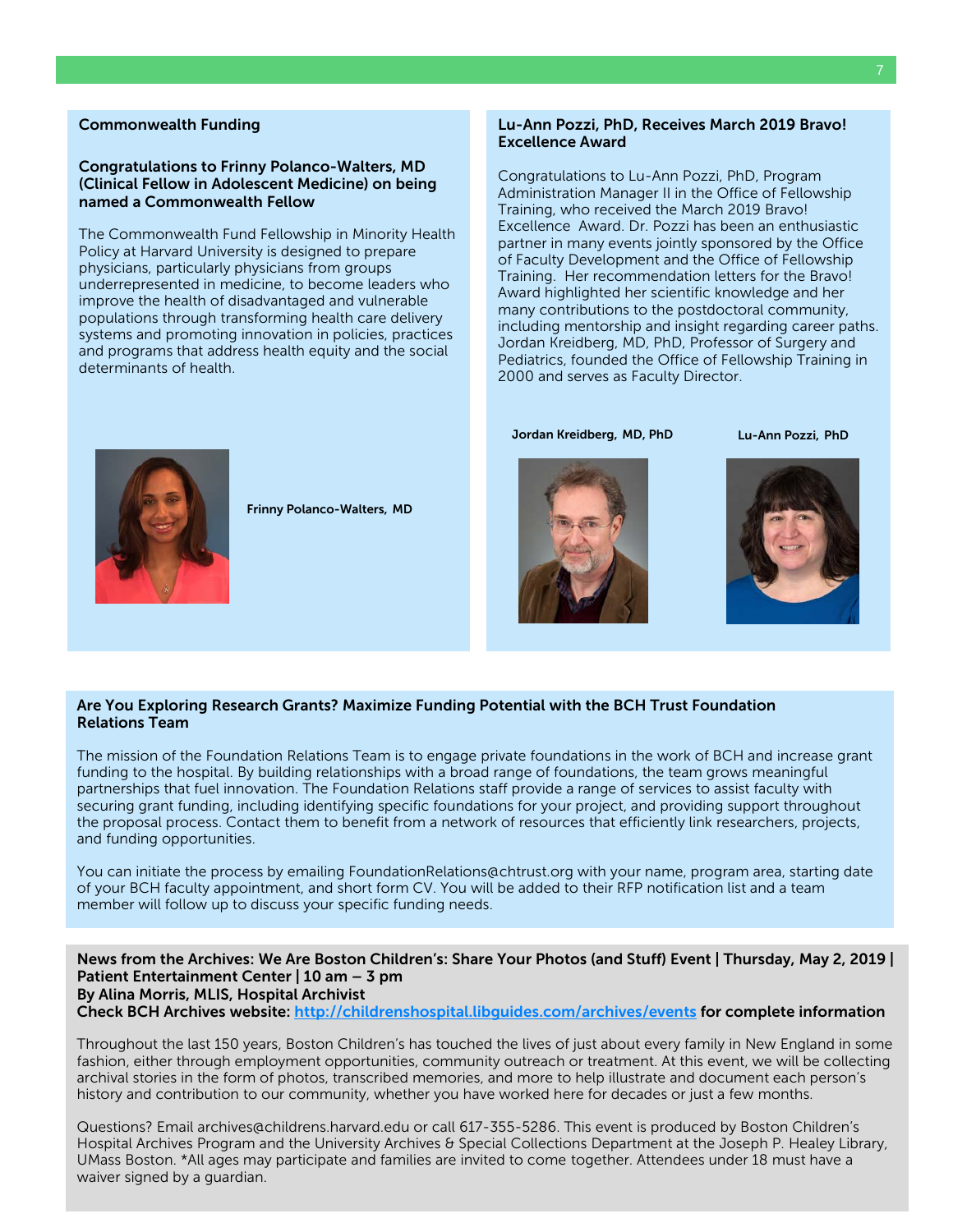#### Commonwealth Funding

# Congratulations to Frinny Polanco-Walters, MD (Clinical Fellow in Adolescent Medicine) on being named a Commonwealth Fellow

The Commonwealth Fund Fellowship in Minority Health Policy at Harvard University is designed to prepare physicians, particularly physicians from groups underrepresented in medicine, to become leaders who improve the health of disadvantaged and vulnerable populations through transforming health care delivery systems and promoting innovation in policies, practices and programs that address health equity and the social determinants of health.

#### Lu-Ann Pozzi, PhD, Receives March 2019 Bravo! Excellence Award

Congratulations to Lu-Ann Pozzi, PhD, Program Administration Manager II in the Office of Fellowship Training, who received the March 2019 Bravo! Excellence Award. Dr. Pozzi has been an enthusiastic partner in many events jointly sponsored by the Office of Faculty Development and the Office of Fellowship Training. Her recommendation letters for the Bravo! Award highlighted her scientific knowledge and her many contributions to the postdoctoral community, including mentorship and insight regarding career paths. Jordan Kreidberg, MD, PhD, Professor of Surgery and Pediatrics, founded the Office of Fellowship Training in 2000 and serves as Faculty Director.

Frinny Polanco-Walters, MD

Jordan Kreidberg, MD, PhD





Lu-Ann Pozzi, PhD

# Are You Exploring Research Grants? Maximize Funding Potential with the BCH Trust Foundation Relations Team

The mission of the Foundation Relations Team is to engage private foundations in the work of BCH and increase grant funding to the hospital. By building relationships with a broad range of foundations, the team grows meaningful partnerships that fuel innovation. The Foundation Relations staff provide a range of services to assist faculty with securing grant funding, including identifying specific foundations for your project, and providing support throughout the proposal process. Contact them to benefit from a network of resources that efficiently link researchers, projects, and funding opportunities.

You can initiate the process by emailing [FoundationRelations@chtrust.org](mailto:FoundationRelations@chtrust.org) with your name, program area, starting date of your BCH faculty appointment, and short form CV. You will be added to their RFP notification list and a team member will follow up to discuss your specific funding needs.

News from the Archives: We Are Boston Children's: Share Your Photos (and Stuff) Event | Thursday, May 2, 2019 | Patient Entertainment Center | 10 am – 3 pm By Alina Morris, MLIS, Hospital Archivist Check BCH Archives website:<http://childrenshospital.libguides.com/archives/events> for complete information

Throughout the last 150 years, Boston Children's has touched the lives of just about every family in New England in some fashion, either through employment opportunities, community outreach or treatment. At this event, we will be collecting archival stories in the form of photos, transcribed memories, and more to help illustrate and document each person's history and contribution to our community, whether you have worked here for decades or just a few months.

Questions? Email archives@childrens.harvard.edu or call 617-355-5286. This event is produced by Boston Children's Hospital Archives Program and the University Archives & Special Collections Department at the Joseph P. Healey Library, UMass Boston. \*All ages may participate and families are invited to come together. Attendees under 18 must have a waiver signed by a guardian.